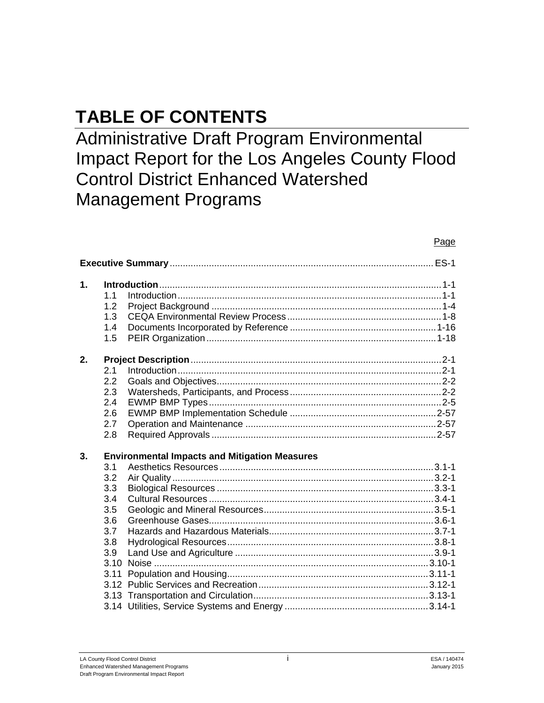# **TABLE OF CONTENTS**

Administrative Draft Program Environmental Impact Report for the Los Angeles County Flood Control District Enhanced Watershed Management Programs

## Page

| $\mathbf{1}$ . | 1.1<br>1.2<br>1.3<br>1.4<br>1.5                                     |                                                      |
|----------------|---------------------------------------------------------------------|------------------------------------------------------|
| 2.             | 2.1<br>2.2<br>2.3<br>2.4<br>2.6<br>2.7<br>2.8                       |                                                      |
| 3.             | 3.1<br>3.2<br>3.3<br>3.4<br>3.5<br>3.6<br>3.7<br>3.8<br>3.9<br>3.11 | <b>Environmental Impacts and Mitigation Measures</b> |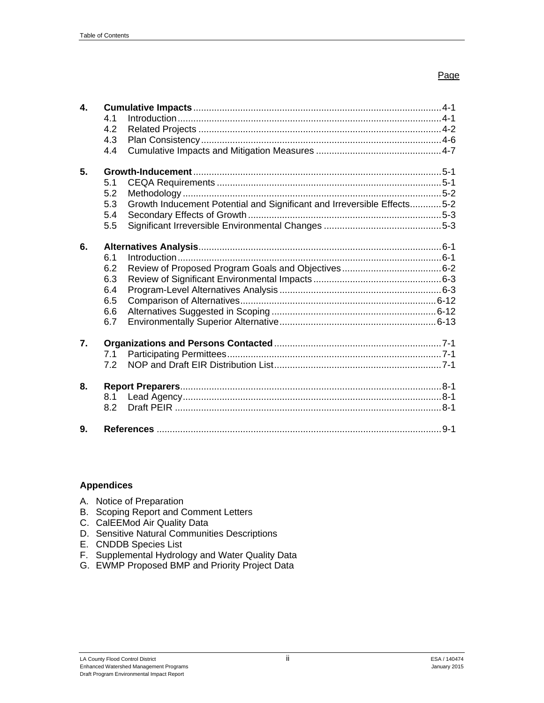| 4. |     |                                                                         |
|----|-----|-------------------------------------------------------------------------|
|    | 4.1 |                                                                         |
|    | 4.2 |                                                                         |
|    | 4.3 |                                                                         |
|    | 4.4 |                                                                         |
| 5. |     |                                                                         |
|    | 5.1 |                                                                         |
|    | 5.2 |                                                                         |
|    | 5.3 | Growth Inducement Potential and Significant and Irreversible Effects5-2 |
|    | 5.4 |                                                                         |
|    | 5.5 |                                                                         |
|    |     |                                                                         |
| 6. |     |                                                                         |
|    | 6.1 |                                                                         |
|    | 6.2 |                                                                         |
|    | 6.3 |                                                                         |
|    | 6.4 |                                                                         |
|    | 6.5 |                                                                         |
|    | 6.6 |                                                                         |
|    | 6.7 |                                                                         |
| 7. |     |                                                                         |
|    | 7.1 |                                                                         |
|    | 72  |                                                                         |
| 8. |     |                                                                         |
|    | 8.1 |                                                                         |
|    | 8.2 |                                                                         |
| 9. |     |                                                                         |
|    |     |                                                                         |

## **Appendices**

- A. Notice of Preparation
- B. Scoping Report and Comment Letters
- C. CalEEMod Air Quality Data
- D. Sensitive Natural Communities Descriptions
- E. CNDDB Species List
- F. Supplemental Hydrology and Water Quality Data
- G. EWMP Proposed BMP and Priority Project Data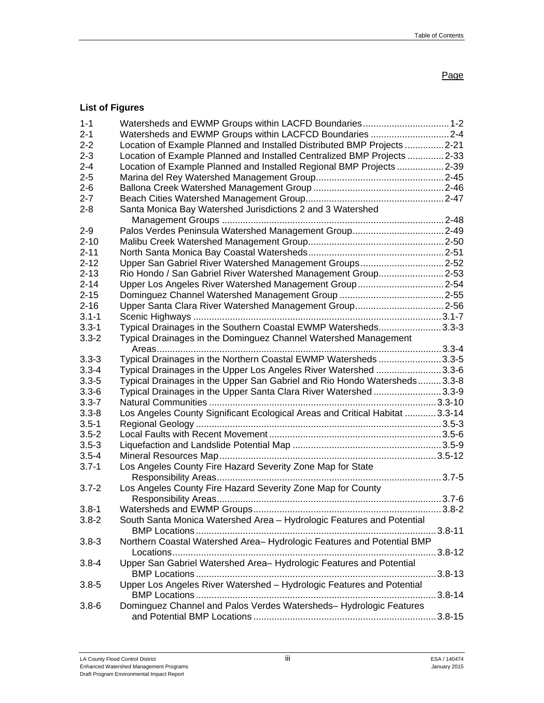## **List of Figures**

| $1 - 1$   |                                                                              |         |
|-----------|------------------------------------------------------------------------------|---------|
| $2 - 1$   | Watersheds and EWMP Groups within LACFCD Boundaries  2-4                     |         |
| $2 - 2$   | Location of Example Planned and Installed Distributed BMP Projects 2-21      |         |
| $2 - 3$   | Location of Example Planned and Installed Centralized BMP Projects 2-33      |         |
| $2 - 4$   | Location of Example Planned and Installed Regional BMP Projects  2-39        |         |
| $2 - 5$   |                                                                              |         |
| $2 - 6$   |                                                                              |         |
| $2 - 7$   |                                                                              |         |
| $2 - 8$   | Santa Monica Bay Watershed Jurisdictions 2 and 3 Watershed                   |         |
|           |                                                                              |         |
| $2 - 9$   | Palos Verdes Peninsula Watershed Management Group2-49                        |         |
| $2 - 10$  |                                                                              |         |
| $2 - 11$  |                                                                              |         |
| $2 - 12$  | Upper San Gabriel River Watershed Management Groups2-52                      |         |
| $2 - 13$  | Rio Hondo / San Gabriel River Watershed Management Group2-53                 |         |
| $2 - 14$  | Upper Los Angeles River Watershed Management Group2-54                       |         |
| $2 - 15$  |                                                                              |         |
| $2 - 16$  | Upper Santa Clara River Watershed Management Group2-56                       |         |
| $3.1 - 1$ |                                                                              |         |
| $3.3 - 1$ | Typical Drainages in the Southern Coastal EWMP Watersheds3.3-3               |         |
| $3.3 - 2$ | Typical Drainages in the Dominguez Channel Watershed Management              |         |
|           |                                                                              |         |
| $3.3 - 3$ | Typical Drainages in the Northern Coastal EWMP Watersheds 3.3-5              |         |
| $3.3 - 4$ | Typical Drainages in the Upper Los Angeles River Watershed 3.3-6             |         |
| $3.3 - 5$ | Typical Drainages in the Upper San Gabriel and Rio Hondo Watersheds3.3-8     |         |
| $3.3 - 6$ | Typical Drainages in the Upper Santa Clara River Watershed3.3-9              |         |
| $3.3 - 7$ |                                                                              |         |
| $3.3 - 8$ | Los Angeles County Significant Ecological Areas and Critical Habitat  3.3-14 |         |
| $3.5 - 1$ |                                                                              |         |
| $3.5 - 2$ |                                                                              |         |
| $3.5 - 3$ |                                                                              |         |
| $3.5 - 4$ |                                                                              |         |
| $3.7 - 1$ | Los Angeles County Fire Hazard Severity Zone Map for State                   |         |
|           |                                                                              |         |
| $3.7 - 2$ | Los Angeles County Fire Hazard Severity Zone Map for County                  |         |
|           |                                                                              |         |
| $3.8 - 1$ |                                                                              |         |
| $3.8 - 2$ | South Santa Monica Watershed Area - Hydrologic Features and Potential        |         |
|           |                                                                              |         |
| $3.8 - 3$ | Northern Coastal Watershed Area-Hydrologic Features and Potential BMP        |         |
|           |                                                                              |         |
| $3.8 - 4$ | Upper San Gabriel Watershed Area-Hydrologic Features and Potential           |         |
|           |                                                                              |         |
| $3.8 - 5$ | Upper Los Angeles River Watershed - Hydrologic Features and Potential        |         |
|           |                                                                              | .3.8-14 |
| $3.8 - 6$ | Dominguez Channel and Palos Verdes Watersheds-Hydrologic Features            |         |
|           |                                                                              |         |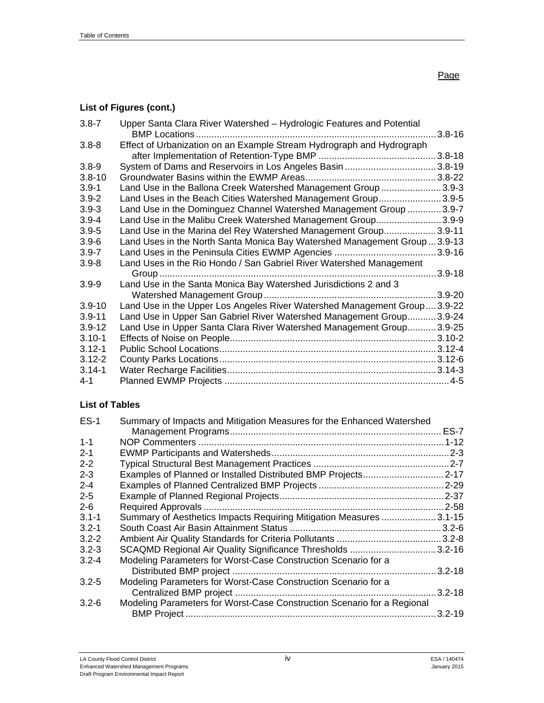# **List of Figures (cont.)**

| $3.8 - 7$  | Upper Santa Clara River Watershed - Hydrologic Features and Potential<br><b>BMP</b> Locations | $3.8 - 16$  |
|------------|-----------------------------------------------------------------------------------------------|-------------|
| $3.8 - 8$  | Effect of Urbanization on an Example Stream Hydrograph and Hydrograph                         |             |
|            |                                                                                               | .3.8-18     |
| $3.8 - 9$  | System of Dams and Reservoirs in Los Angeles Basin 3.8-19                                     |             |
| $3.8 - 10$ |                                                                                               |             |
| $3.9 - 1$  | Land Use in the Ballona Creek Watershed Management Group 3.9-3                                |             |
| $3.9 - 2$  | Land Uses in the Beach Cities Watershed Management Group3.9-5                                 |             |
| $3.9 - 3$  | Land Use in the Dominguez Channel Watershed Management Group  3.9-7                           |             |
| $3.9 - 4$  | Land Use in the Malibu Creek Watershed Management Group3.9-9                                  |             |
| $3.9 - 5$  | Land Use in the Marina del Rey Watershed Management Group3.9-11                               |             |
| $3.9 - 6$  | Land Uses in the North Santa Monica Bay Watershed Management Group3.9-13                      |             |
| $3.9 - 7$  | Land Uses in the Peninsula Cities EWMP Agencies                                               | $3.9 - 16$  |
| $3.9 - 8$  | Land Uses in the Rio Hondo / San Gabriel River Watershed Management                           |             |
|            |                                                                                               | $3.9 - 18$  |
| $3.9 - 9$  | Land Use in the Santa Monica Bay Watershed Jurisdictions 2 and 3                              |             |
|            |                                                                                               | $.3.9 - 20$ |
| $3.9 - 10$ | Land Use in the Upper Los Angeles River Watershed Management Group 3.9-22                     |             |
| $3.9 - 11$ | Land Use in Upper San Gabriel River Watershed Management Group3.9-24                          |             |
| $3.9 - 12$ | Land Use in Upper Santa Clara River Watershed Management Group3.9-25                          |             |
| $3.10 - 1$ |                                                                                               |             |
| $3.12 - 1$ |                                                                                               |             |
| $3.12 - 2$ |                                                                                               |             |
| $3.14 - 1$ |                                                                                               |             |
| 4-1        |                                                                                               |             |

## **List of Tables**

| $ES-1$    | Summary of Impacts and Mitigation Measures for the Enhanced Watershed   |             |
|-----------|-------------------------------------------------------------------------|-------------|
|           |                                                                         | <b>ES-7</b> |
| $1 - 1$   |                                                                         |             |
| $2 - 1$   |                                                                         |             |
| $2 - 2$   |                                                                         |             |
| $2 - 3$   | Examples of Planned or Installed Distributed BMP Projects               | $.2 - 17$   |
| $2 - 4$   |                                                                         | $2 - 29$    |
| $2 - 5$   |                                                                         |             |
| $2 - 6$   |                                                                         | $.2 - 58$   |
| $3.1 - 1$ | Summary of Aesthetics Impacts Requiring Mitigation Measures             | $.3.1 - 15$ |
| $3.2 - 1$ |                                                                         | $.3.2 - 6$  |
| $3.2 - 2$ |                                                                         |             |
| $3.2 - 3$ | SCAQMD Regional Air Quality Significance Thresholds 3.2-16              |             |
| $3.2 - 4$ | Modeling Parameters for Worst-Case Construction Scenario for a          |             |
|           |                                                                         | .3.2-18     |
| $3.2 - 5$ | Modeling Parameters for Worst-Case Construction Scenario for a          |             |
|           |                                                                         | $3.2 - 18$  |
| $3.2 - 6$ | Modeling Parameters for Worst-Case Construction Scenario for a Regional |             |
|           |                                                                         | $3.2 - 19$  |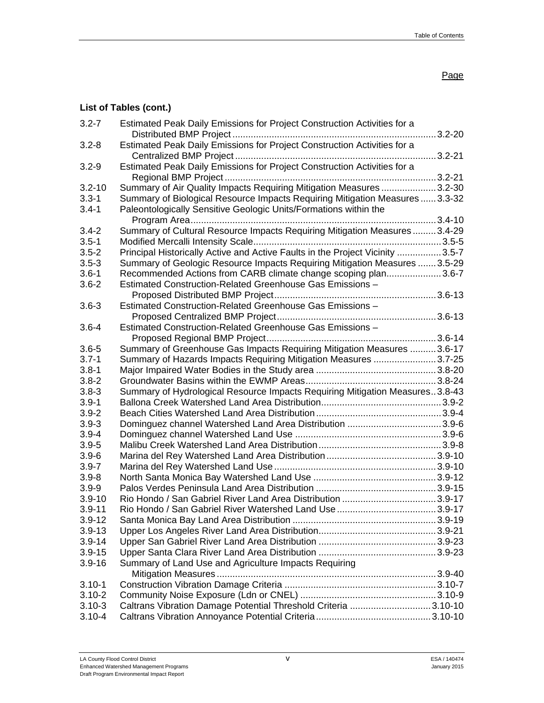## **List of Tables (cont.)**

| $3.2 - 7$  | Estimated Peak Daily Emissions for Project Construction Activities for a<br>3.2-20 |  |
|------------|------------------------------------------------------------------------------------|--|
| $3.2 - 8$  | Estimated Peak Daily Emissions for Project Construction Activities for a           |  |
|            | 3.2-21                                                                             |  |
| $3.2 - 9$  | Estimated Peak Daily Emissions for Project Construction Activities for a           |  |
|            | 3.2-21                                                                             |  |
| $3.2 - 10$ | Summary of Air Quality Impacts Requiring Mitigation Measures 3.2-30                |  |
| $3.3 - 1$  | Summary of Biological Resource Impacts Requiring Mitigation Measures 3.3-32        |  |
| $3.4 - 1$  | Paleontologically Sensitive Geologic Units/Formations within the                   |  |
|            | 3.4-10                                                                             |  |
| $3.4 - 2$  | Summary of Cultural Resource Impacts Requiring Mitigation Measures3.4-29           |  |
| $3.5 - 1$  |                                                                                    |  |
| $3.5 - 2$  | Principal Historically Active and Active Faults in the Project Vicinity 3.5-7      |  |
| $3.5 - 3$  | Summary of Geologic Resource Impacts Requiring Mitigation Measures  3.5-29         |  |
| $3.6 - 1$  | Recommended Actions from CARB climate change scoping plan3.6-7                     |  |
| $3.6 - 2$  | Estimated Construction-Related Greenhouse Gas Emissions -                          |  |
|            |                                                                                    |  |
| $3.6 - 3$  | Estimated Construction-Related Greenhouse Gas Emissions -                          |  |
|            |                                                                                    |  |
| $3.6 - 4$  | Estimated Construction-Related Greenhouse Gas Emissions -                          |  |
|            |                                                                                    |  |
| $3.6 - 5$  | Summary of Greenhouse Gas Impacts Requiring Mitigation Measures  3.6-17            |  |
| $3.7 - 1$  | Summary of Hazards Impacts Requiring Mitigation Measures 3.7-25                    |  |
| $3.8 - 1$  |                                                                                    |  |
| $3.8 - 2$  |                                                                                    |  |
| $3.8 - 3$  | Summary of Hydrological Resource Impacts Requiring Mitigation Measures3.8-43       |  |
| $3.9 - 1$  |                                                                                    |  |
| $3.9 - 2$  |                                                                                    |  |
| $3.9 - 3$  | Dominguez channel Watershed Land Area Distribution 3.9-6                           |  |
| $3.9 - 4$  |                                                                                    |  |
| $3.9 - 5$  |                                                                                    |  |
| $3.9 - 6$  |                                                                                    |  |
| $3.9 - 7$  |                                                                                    |  |
| $3.9 - 8$  |                                                                                    |  |
| $3.9 - 9$  |                                                                                    |  |
| $3.9 - 10$ | Rio Hondo / San Gabriel River Land Area Distribution 3.9-17                        |  |
| $3.9 - 11$ |                                                                                    |  |
| $3.9 - 12$ |                                                                                    |  |
| $3.9 - 13$ |                                                                                    |  |
| $3.9 - 14$ |                                                                                    |  |
| $3.9 - 15$ |                                                                                    |  |
| $3.9 - 16$ | Summary of Land Use and Agriculture Impacts Requiring                              |  |
|            |                                                                                    |  |
| $3.10 - 1$ |                                                                                    |  |
| $3.10 - 2$ |                                                                                    |  |
| $3.10 - 3$ | Caltrans Vibration Damage Potential Threshold Criteria 3.10-10                     |  |
| $3.10 - 4$ |                                                                                    |  |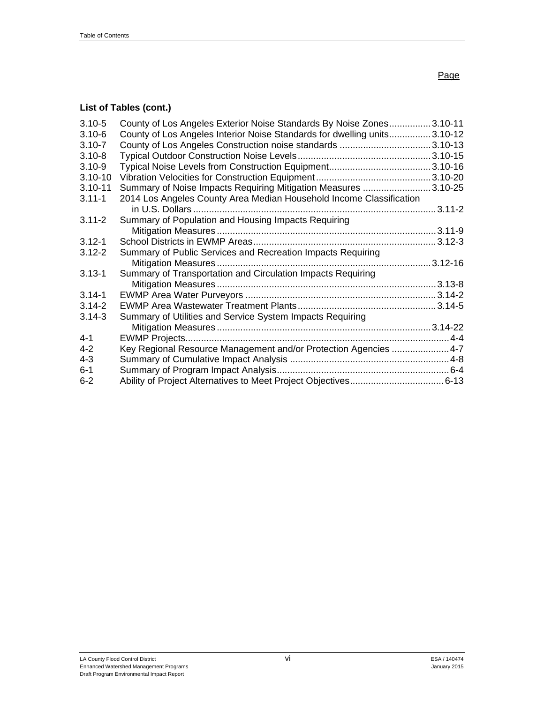# **List of Tables (cont.)**

| $3.10 - 5$  | County of Los Angeles Exterior Noise Standards By Noise Zones3.10-11     |              |
|-------------|--------------------------------------------------------------------------|--------------|
| $3.10 - 6$  | County of Los Angeles Interior Noise Standards for dwelling units3.10-12 |              |
| $3.10 - 7$  |                                                                          |              |
| $3.10 - 8$  |                                                                          |              |
| $3.10 - 9$  |                                                                          |              |
| $3.10 - 10$ |                                                                          |              |
| $3.10 - 11$ | Summary of Noise Impacts Requiring Mitigation Measures 3.10-25           |              |
| $3.11 - 1$  | 2014 Los Angeles County Area Median Household Income Classification      |              |
|             |                                                                          |              |
| $3.11 - 2$  | Summary of Population and Housing Impacts Requiring                      |              |
|             |                                                                          |              |
| $3.12 - 1$  |                                                                          |              |
| $3.12 - 2$  | Summary of Public Services and Recreation Impacts Requiring              |              |
|             |                                                                          | $.3.12 - 16$ |
| $3.13 - 1$  | Summary of Transportation and Circulation Impacts Requiring              |              |
|             |                                                                          |              |
| $3.14 - 1$  |                                                                          |              |
| $3.14 - 2$  |                                                                          |              |
| $3.14 - 3$  | Summary of Utilities and Service System Impacts Requiring                |              |
|             |                                                                          |              |
| $4 - 1$     |                                                                          |              |
| $4 - 2$     | Key Regional Resource Management and/or Protection Agencies  4-7         |              |
| $4 - 3$     |                                                                          |              |
| $6 - 1$     |                                                                          |              |
| $6 - 2$     |                                                                          |              |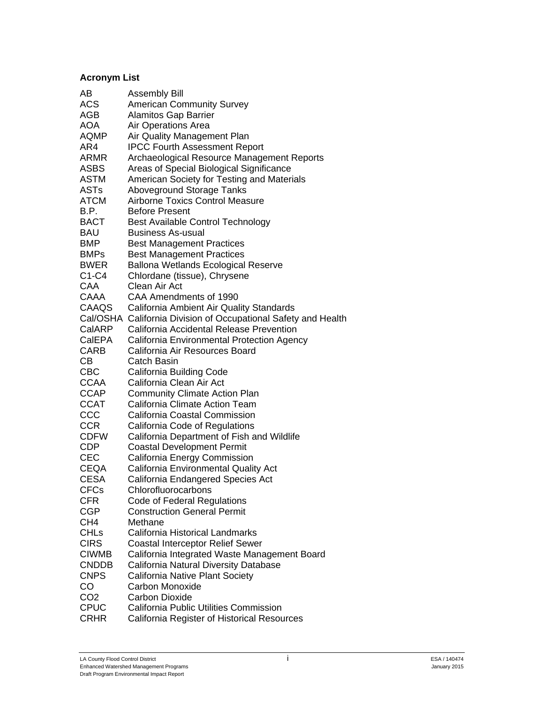## **Acronym List**

| AB              | <b>Assembly Bill</b>                                           |
|-----------------|----------------------------------------------------------------|
| ACS             | American Community Survey                                      |
| AGB             | <b>Alamitos Gap Barrier</b>                                    |
| AOA             | Air Operations Area                                            |
| AQMP            | Air Quality Management Plan                                    |
| AR4             | <b>IPCC Fourth Assessment Report</b>                           |
| ARMR            | Archaeological Resource Management Reports                     |
| ASBS            | Areas of Special Biological Significance                       |
| <b>ASTM</b>     | American Society for Testing and Materials                     |
| ASTs            | <b>Aboveground Storage Tanks</b>                               |
| <b>ATCM</b>     | <b>Airborne Toxics Control Measure</b>                         |
| B.P.            | <b>Before Present</b>                                          |
| <b>BACT</b>     | Best Available Control Technology                              |
| BAU             | <b>Business As-usual</b>                                       |
| <b>BMP</b>      | <b>Best Management Practices</b>                               |
| <b>BMPs</b>     | <b>Best Management Practices</b>                               |
| <b>BWER</b>     | <b>Ballona Wetlands Ecological Reserve</b>                     |
| $C1-C4$         | Chlordane (tissue), Chrysene                                   |
| CAA             | Clean Air Act                                                  |
| CAAA            | CAA Amendments of 1990                                         |
| CAAQS           | California Ambient Air Quality Standards                       |
|                 | Cal/OSHA California Division of Occupational Safety and Health |
| CalARP          | California Accidental Release Prevention                       |
| CalEPA          |                                                                |
|                 | California Environmental Protection Agency                     |
| <b>CARB</b>     | California Air Resources Board                                 |
| CВ              | Catch Basin                                                    |
| <b>CBC</b>      | California Building Code<br>California Clean Air Act           |
| <b>CCAA</b>     |                                                                |
| <b>CCAP</b>     | <b>Community Climate Action Plan</b>                           |
| <b>CCAT</b>     | California Climate Action Team                                 |
| CCC             | California Coastal Commission                                  |
| <b>CCR</b>      | California Code of Regulations                                 |
| <b>CDFW</b>     | California Department of Fish and Wildlife                     |
| <b>CDP</b>      | <b>Coastal Development Permit</b>                              |
| CEC             | California Energy Commission                                   |
| CEQA            | California Environmental Quality Act                           |
| CESA            | California Endangered Species Act                              |
| <b>CFCs</b>     | Chlorofluorocarbons                                            |
| <b>CFR</b>      | Code of Federal Regulations                                    |
| <b>CGP</b>      | <b>Construction General Permit</b>                             |
| CH <sub>4</sub> | Methane                                                        |
| <b>CHLs</b>     | California Historical Landmarks                                |
| <b>CIRS</b>     | <b>Coastal Interceptor Relief Sewer</b>                        |
| <b>CIWMB</b>    | California Integrated Waste Management Board                   |
| <b>CNDDB</b>    | California Natural Diversity Database                          |
| <b>CNPS</b>     | California Native Plant Society                                |
| CO              | Carbon Monoxide                                                |
| CO <sub>2</sub> | <b>Carbon Dioxide</b>                                          |
| <b>CPUC</b>     | <b>California Public Utilities Commission</b>                  |
| <b>CRHR</b>     | California Register of Historical Resources                    |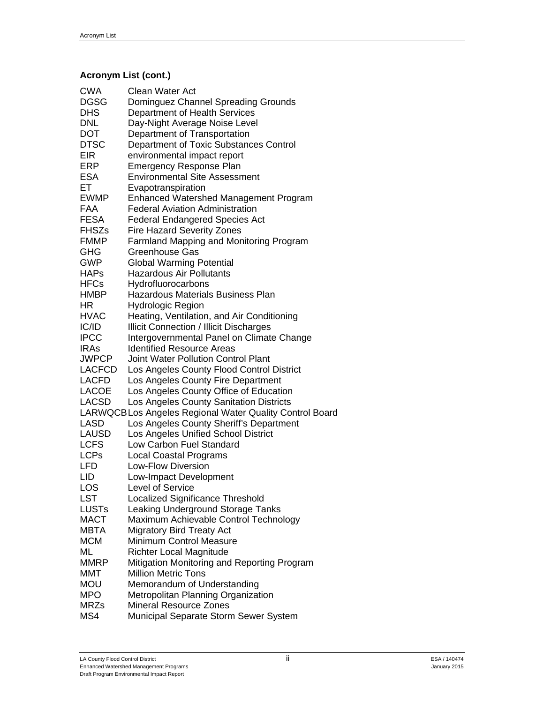# **Acronym List (cont.)**

| <b>CWA</b>     | <b>Clean Water Act</b>                                                            |
|----------------|-----------------------------------------------------------------------------------|
| DGSG           | Dominguez Channel Spreading Grounds                                               |
| DHS            | Department of Health Services                                                     |
| DNL            | Day-Night Average Noise Level                                                     |
| DOT            | Department of Transportation                                                      |
| DTSC           | Department of Toxic Substances Control                                            |
| EIR            | environmental impact report                                                       |
| ERP            | <b>Emergency Response Plan</b>                                                    |
| ESA            | <b>Environmental Site Assessment</b>                                              |
| ET             | Evapotranspiration                                                                |
| EWMP           | <b>Enhanced Watershed Management Program</b>                                      |
| FAA            | <b>Federal Aviation Administration</b>                                            |
| FESA           | <b>Federal Endangered Species Act</b>                                             |
| FHSZs          | <b>Fire Hazard Severity Zones</b>                                                 |
| FMMP           | Farmland Mapping and Monitoring Program                                           |
| GHG            | Greenhouse Gas                                                                    |
| GWP            | <b>Global Warming Potential</b>                                                   |
| HAPs           | <b>Hazardous Air Pollutants</b>                                                   |
| HFCs           | Hydrofluorocarbons                                                                |
| HMBP           | <b>Hazardous Materials Business Plan</b>                                          |
| ΗR             | <b>Hydrologic Region</b>                                                          |
| <b>HVAC</b>    | Heating, Ventilation, and Air Conditioning                                        |
| IC/ID          | <b>Illicit Connection / Illicit Discharges</b>                                    |
| <b>IPCC</b>    | Intergovernmental Panel on Climate Change                                         |
| <b>IRAs</b>    | <b>Identified Resource Areas</b>                                                  |
| JWPCP          | <b>Joint Water Pollution Control Plant</b>                                        |
| LACFCD         | Los Angeles County Flood Control District                                         |
| LACFD          | Los Angeles County Fire Department                                                |
| LACOE<br>LACSD | Los Angeles County Office of Education<br>Los Angeles County Sanitation Districts |
|                | LARWQCBLos Angeles Regional Water Quality Control Board                           |
| LASD           | Los Angeles County Sheriff's Department                                           |
| LAUSD          | Los Angeles Unified School District                                               |
| LCFS           | <b>Low Carbon Fuel Standard</b>                                                   |
| LCPs           | <b>Local Coastal Programs</b>                                                     |
| LFD            | Low-Flow Diversion                                                                |
| LID            | Low-Impact Development                                                            |
| LOS            | Level of Service                                                                  |
| LST            | Localized Significance Threshold                                                  |
| <b>LUSTs</b>   | Leaking Underground Storage Tanks                                                 |
| <b>MACT</b>    | Maximum Achievable Control Technology                                             |
| <b>MBTA</b>    | <b>Migratory Bird Treaty Act</b>                                                  |
| <b>MCM</b>     | <b>Minimum Control Measure</b>                                                    |
| ML             | <b>Richter Local Magnitude</b>                                                    |
| <b>MMRP</b>    | Mitigation Monitoring and Reporting Program                                       |
| MMT            | <b>Million Metric Tons</b>                                                        |
| Mou            | Memorandum of Understanding                                                       |
| MPO            | Metropolitan Planning Organization                                                |
| MRZs           | <b>Mineral Resource Zones</b>                                                     |
|                |                                                                                   |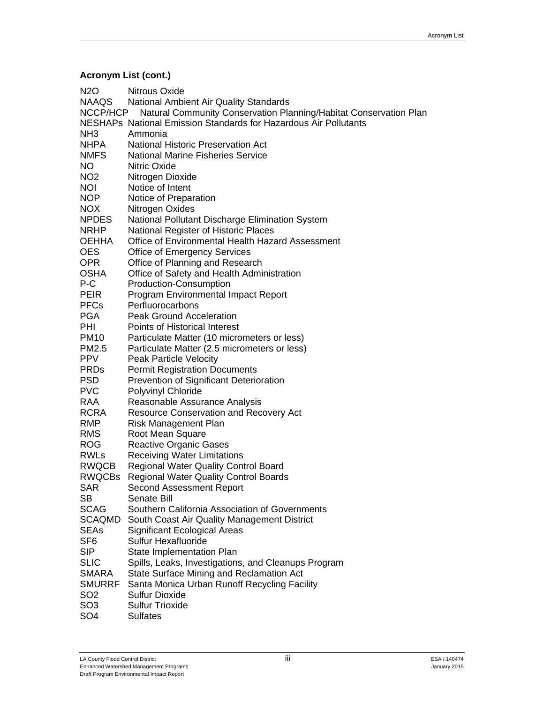# **Acronym List (cont.)**

| N <sub>2</sub> O | Nitrous Oxide                                                     |
|------------------|-------------------------------------------------------------------|
| NAAQS            | National Ambient Air Quality Standards                            |
| NCCP/HCP         | Natural Community Conservation Planning/Habitat Conservation Plan |
|                  | NESHAPs National Emission Standards for Hazardous Air Pollutants  |
| NH <sub>3</sub>  | Ammonia                                                           |
| <b>NHPA</b>      | <b>National Historic Preservation Act</b>                         |
| <b>NMFS</b>      | <b>National Marine Fisheries Service</b>                          |
| <b>NO</b>        | Nitric Oxide                                                      |
| NO <sub>2</sub>  | Nitrogen Dioxide                                                  |
| <b>NOI</b>       | Notice of Intent                                                  |
| <b>NOP</b>       | Notice of Preparation                                             |
| <b>NOX</b>       | Nitrogen Oxides                                                   |
| <b>NPDES</b>     | National Pollutant Discharge Elimination System                   |
| <b>NRHP</b>      | National Register of Historic Places                              |
| <b>OEHHA</b>     | Office of Environmental Health Hazard Assessment                  |
| <b>OES</b>       | <b>Office of Emergency Services</b>                               |
| <b>OPR</b>       | Office of Planning and Research                                   |
| OSHA             | Office of Safety and Health Administration                        |
| P-C              | Production-Consumption                                            |
| <b>PEIR</b>      | Program Environmental Impact Report                               |
| <b>PFCs</b>      | Perfluorocarbons                                                  |
| <b>PGA</b>       | <b>Peak Ground Acceleration</b>                                   |
| PHI              | Points of Historical Interest                                     |
| <b>PM10</b>      | Particulate Matter (10 micrometers or less)                       |
| PM2.5            | Particulate Matter (2.5 micrometers or less)                      |
| <b>PPV</b>       | Peak Particle Velocity                                            |
| <b>PRDs</b>      | <b>Permit Registration Documents</b>                              |
| <b>PSD</b>       | Prevention of Significant Deterioration                           |
| <b>PVC</b>       | Polyvinyl Chloride                                                |
| RAA              | Reasonable Assurance Analysis                                     |
| RCRA             | Resource Conservation and Recovery Act                            |
| <b>RMP</b>       | <b>Risk Management Plan</b>                                       |
| <b>RMS</b>       | Root Mean Square                                                  |
| <b>ROG</b>       | <b>Reactive Organic Gases</b>                                     |
| RWLs             | <b>Receiving Water Limitations</b>                                |
| RWQCB            |                                                                   |
| <b>RWQCBs</b>    | <b>Regional Water Quality Control Board</b>                       |
|                  | <b>Regional Water Quality Control Boards</b>                      |
| SAR              | Second Assessment Report                                          |
| SB               | Senate Bill<br>Southern California Association of Governments     |
| <b>SCAG</b>      |                                                                   |
| SCAQMD           | South Coast Air Quality Management District                       |
| <b>SEAs</b>      | <b>Significant Ecological Areas</b>                               |
| SF <sub>6</sub>  | Sulfur Hexafluoride                                               |
| <b>SIP</b>       | State Implementation Plan                                         |
| <b>SLIC</b>      | Spills, Leaks, Investigations, and Cleanups Program               |
| <b>SMARA</b>     | State Surface Mining and Reclamation Act                          |
| <b>SMURRF</b>    | Santa Monica Urban Runoff Recycling Facility                      |
| SO <sub>2</sub>  | <b>Sulfur Dioxide</b>                                             |
| SO <sub>3</sub>  | <b>Sulfur Trioxide</b>                                            |
| SO <sub>4</sub>  | <b>Sulfates</b>                                                   |